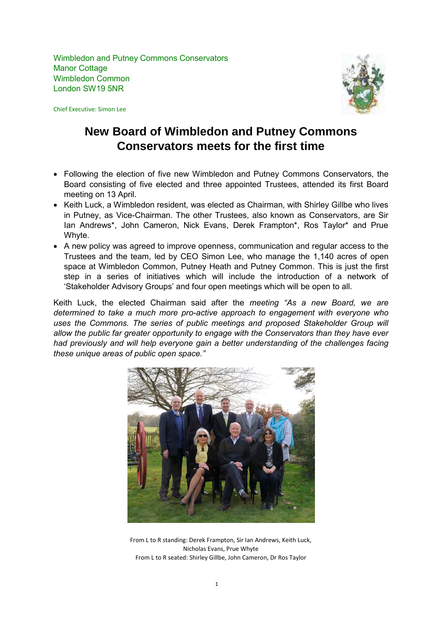Wimbledon and Putney Commons Conservators Manor Cottage Wimbledon Common London SW19 5NR

Chief Executive: Simon Lee



# **New Board of Wimbledon and Putney Commons Conservators meets for the first time**

- Following the election of five new Wimbledon and Putney Commons Conservators, the Board consisting of five elected and three appointed Trustees, attended its first Board meeting on 13 April.
- Keith Luck, a Wimbledon resident, was elected as Chairman, with Shirley Gillbe who lives in Putney, as Vice-Chairman. The other Trustees, also known as Conservators, are Sir Ian Andrews\*, John Cameron, Nick Evans, Derek Frampton\*, Ros Taylor\* and Prue Whyte.
- A new policy was agreed to improve openness, communication and regular access to the Trustees and the team, led by CEO Simon Lee, who manage the 1,140 acres of open space at Wimbledon Common, Putney Heath and Putney Common. This is just the first step in a series of initiatives which will include the introduction of a network of 'Stakeholder Advisory Groups' and four open meetings which will be open to all.

Keith Luck, the elected Chairman said after the *meeting "As a new Board, we are determined to take a much more pro-active approach to engagement with everyone who uses the Commons. The series of public meetings and proposed Stakeholder Group will allow the public far greater opportunity to engage with the Conservators than they have ever had previously and will help everyone gain a better understanding of the challenges facing these unique areas of public open space."* 



From L to R standing: Derek Frampton, Sir Ian Andrews, Keith Luck, Nicholas Evans, Prue Whyte From L to R seated: Shirley Gillbe, John Cameron, Dr Ros Taylor